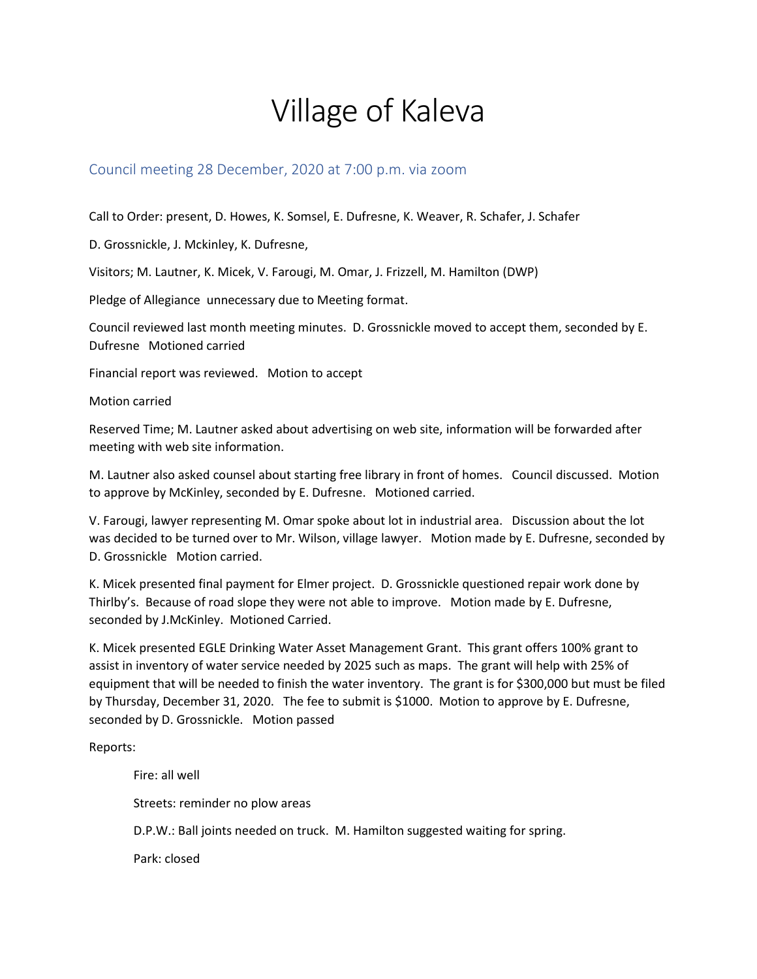## Village of Kaleva

## Council meeting 28 December, 2020 at 7:00 p.m. via zoom

Call to Order: present, D. Howes, K. Somsel, E. Dufresne, K. Weaver, R. Schafer, J. Schafer

D. Grossnickle, J. Mckinley, K. Dufresne,

Visitors; M. Lautner, K. Micek, V. Farougi, M. Omar, J. Frizzell, M. Hamilton (DWP)

Pledge of Allegiance unnecessary due to Meeting format.

Council reviewed last month meeting minutes. D. Grossnickle moved to accept them, seconded by E. Dufresne Motioned carried

Financial report was reviewed. Motion to accept

Motion carried

Reserved Time; M. Lautner asked about advertising on web site, information will be forwarded after meeting with web site information.

M. Lautner also asked counsel about starting free library in front of homes. Council discussed. Motion to approve by McKinley, seconded by E. Dufresne. Motioned carried.

V. Farougi, lawyer representing M. Omar spoke about lot in industrial area. Discussion about the lot was decided to be turned over to Mr. Wilson, village lawyer. Motion made by E. Dufresne, seconded by D. Grossnickle Motion carried.

K. Micek presented final payment for Elmer project. D. Grossnickle questioned repair work done by Thirlby's. Because of road slope they were not able to improve. Motion made by E. Dufresne, seconded by J.McKinley. Motioned Carried.

K. Micek presented EGLE Drinking Water Asset Management Grant. This grant offers 100% grant to assist in inventory of water service needed by 2025 such as maps. The grant will help with 25% of equipment that will be needed to finish the water inventory. The grant is for \$300,000 but must be filed by Thursday, December 31, 2020. The fee to submit is \$1000. Motion to approve by E. Dufresne, seconded by D. Grossnickle. Motion passed

Reports:

Fire: all well Streets: reminder no plow areas D.P.W.: Ball joints needed on truck. M. Hamilton suggested waiting for spring. Park: closed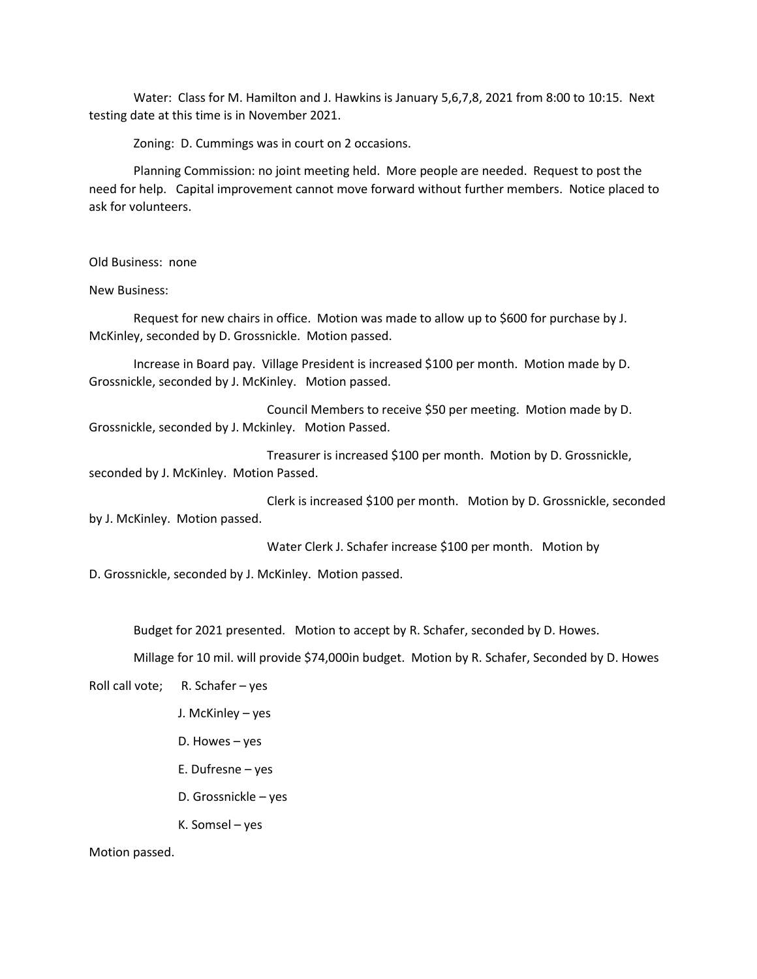Water: Class for M. Hamilton and J. Hawkins is January 5,6,7,8, 2021 from 8:00 to 10:15. Next testing date at this time is in November 2021.

Zoning: D. Cummings was in court on 2 occasions.

Planning Commission: no joint meeting held. More people are needed. Request to post the need for help. Capital improvement cannot move forward without further members. Notice placed to ask for volunteers.

Old Business: none

New Business:

Request for new chairs in office. Motion was made to allow up to \$600 for purchase by J. McKinley, seconded by D. Grossnickle. Motion passed.

Increase in Board pay. Village President is increased \$100 per month. Motion made by D. Grossnickle, seconded by J. McKinley. Motion passed.

Council Members to receive \$50 per meeting. Motion made by D. Grossnickle, seconded by J. Mckinley. Motion Passed.

Treasurer is increased \$100 per month. Motion by D. Grossnickle, seconded by J. McKinley. Motion Passed.

Clerk is increased \$100 per month. Motion by D. Grossnickle, seconded by J. McKinley. Motion passed.

Water Clerk J. Schafer increase \$100 per month. Motion by

D. Grossnickle, seconded by J. McKinley. Motion passed.

Budget for 2021 presented. Motion to accept by R. Schafer, seconded by D. Howes.

Millage for 10 mil. will provide \$74,000in budget. Motion by R. Schafer, Seconded by D. Howes

Roll call vote; R. Schafer – yes

- J. McKinley yes
- D. Howes yes
- E. Dufresne yes
- D. Grossnickle yes
- K. Somsel yes

Motion passed.